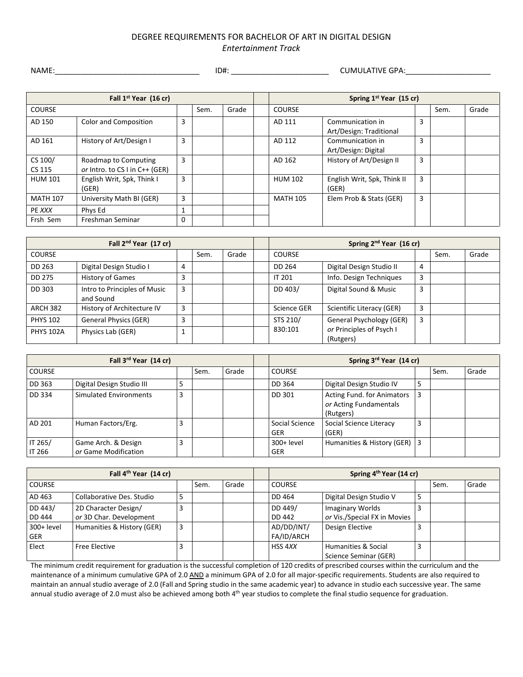## DEGREE REQUIREMENTS FOR BACHELOR OF ART IN DIGITAL DESIGN *Entertainment Track*

NAME:\_\_\_\_\_\_\_\_\_\_\_\_\_\_\_\_\_\_\_\_\_\_\_\_\_\_\_\_\_\_\_\_\_\_ ID#: \_\_\_\_\_\_\_\_\_\_\_\_\_\_\_\_\_\_\_\_\_\_\_ CUMULATIVE GPA:\_\_\_\_\_\_\_\_\_\_\_\_\_\_\_\_\_\_\_\_

| Fall 1 <sup>st</sup> Year (16 cr) |                                                        |          |      |       |  |                 | Spring 1 <sup>st</sup> Year (15 cr)         |   |      |       |
|-----------------------------------|--------------------------------------------------------|----------|------|-------|--|-----------------|---------------------------------------------|---|------|-------|
| <b>COURSE</b>                     |                                                        |          | Sem. | Grade |  | <b>COURSE</b>   |                                             |   | Sem. | Grade |
| AD 150                            | <b>Color and Composition</b>                           | 3        |      |       |  | AD 111          | Communication in<br>Art/Design: Traditional | 3 |      |       |
| AD 161                            | History of Art/Design I                                | 3        |      |       |  | AD 112          | Communication in<br>Art/Design: Digital     | 3 |      |       |
| CS 100/<br>CS 115                 | Roadmap to Computing<br>or Intro. to CS I in C++ (GER) | 3        |      |       |  | AD 162          | History of Art/Design II                    | 3 |      |       |
| <b>HUM 101</b>                    | English Writ, Spk, Think I<br>(GER)                    | 3        |      |       |  | <b>HUM 102</b>  | English Writ, Spk, Think II<br>(GER)        | 3 |      |       |
| <b>MATH 107</b>                   | University Math BI (GER)                               | 3        |      |       |  | <b>MATH 105</b> | Elem Prob & Stats (GER)                     | 3 |      |       |
| PE XXX                            | Phys Ed                                                |          |      |       |  |                 |                                             |   |      |       |
| Frsh Sem                          | Freshman Seminar                                       | $\Omega$ |      |       |  |                 |                                             |   |      |       |

| Fall 2 <sup>nd</sup> Year (17 cr) |                                           |   |      |       | Spring 2 <sup>nd</sup> Year (16 cr) |                                       |                |      |       |
|-----------------------------------|-------------------------------------------|---|------|-------|-------------------------------------|---------------------------------------|----------------|------|-------|
| <b>COURSE</b>                     |                                           |   | Sem. | Grade | <b>COURSE</b>                       |                                       |                | Sem. | Grade |
| DD 263                            | Digital Design Studio I                   | 4 |      |       | DD 264                              | Digital Design Studio II              | $\overline{4}$ |      |       |
| <b>DD 275</b>                     | History of Games                          | 3 |      |       | <b>IT 201</b>                       | Info. Design Techniques               | 3              |      |       |
| DD 303                            | Intro to Principles of Music<br>and Sound | 3 |      |       | DD 403/                             | Digital Sound & Music                 | $\overline{3}$ |      |       |
| <b>ARCH 382</b>                   | History of Architecture IV                | 3 |      |       | Science GER                         | Scientific Literacy (GER)             | 3              |      |       |
| <b>PHYS 102</b>                   | <b>General Physics (GER)</b>              | 3 |      |       | STS 210/                            | General Psychology (GER)              | 3              |      |       |
| <b>PHYS 102A</b>                  | Physics Lab (GER)                         |   |      |       | 830:101                             | or Principles of Psych I<br>(Rutgers) |                |      |       |

| Fall 3 <sup>rd</sup> Year (14 cr) |                                             |   |      |       | Spring 3rd Year (14 cr)      |                                                                   |   |      |       |
|-----------------------------------|---------------------------------------------|---|------|-------|------------------------------|-------------------------------------------------------------------|---|------|-------|
| <b>COURSE</b>                     |                                             |   | Sem. | Grade | <b>COURSE</b>                |                                                                   |   | Sem. | Grade |
| DD 363                            | Digital Design Studio III                   |   |      |       | DD 364                       | Digital Design Studio IV                                          | 5 |      |       |
| DD 334                            | Simulated Environments                      | 3 |      |       | DD 301                       | Acting Fund. for Animators<br>or Acting Fundamentals<br>(Rutgers) | 3 |      |       |
| AD 201                            | Human Factors/Erg.                          | 3 |      |       | Social Science<br><b>GER</b> | Social Science Literacy<br>(GER)                                  | 3 |      |       |
| IT 265/<br><b>IT 266</b>          | Game Arch. & Design<br>or Game Modification | 3 |      |       | $300+level$<br><b>GER</b>    | Humanities & History (GER)                                        | 3 |      |       |

| Fall 4 <sup>th</sup> Year (14 cr) |                            |   |      |       | Spring 4 <sup>th</sup> Year (14 cr) |                              |   |      |       |
|-----------------------------------|----------------------------|---|------|-------|-------------------------------------|------------------------------|---|------|-------|
| <b>COURSE</b>                     |                            |   | Sem. | Grade | <b>COURSE</b>                       |                              |   | Sem. | Grade |
| AD 463                            | Collaborative Des. Studio  | 5 |      |       | DD 464                              | Digital Design Studio V      | 5 |      |       |
| DD 443/                           | 2D Character Design/       | 3 |      |       | DD 449/                             | <b>Imaginary Worlds</b>      |   |      |       |
| DD 444                            | or 3D Char. Development    |   |      |       | DD 442                              | or Vis./Special FX in Movies |   |      |       |
| 300+ level                        | Humanities & History (GER) | 3 |      |       | AD/DD/INT/                          | Design Elective              |   |      |       |
| <b>GER</b>                        |                            |   |      |       | FA/ID/ARCH                          |                              |   |      |       |
| Elect                             | <b>Free Elective</b>       | 3 |      |       | HSS 4XX                             | Humanities & Social          | 3 |      |       |
|                                   |                            |   |      |       |                                     | Science Seminar (GER)        |   |      |       |

The minimum credit requirement for graduation is the successful completion of 120 credits of prescribed courses within the curriculum and the maintenance of a minimum cumulative GPA of 2.0 AND a minimum GPA of 2.0 for all major-specific requirements. Students are also required to maintain an annual studio average of 2.0 (Fall and Spring studio in the same academic year) to advance in studio each successive year. The same annual studio average of 2.0 must also be achieved among both 4<sup>th</sup> year studios to complete the final studio sequence for graduation.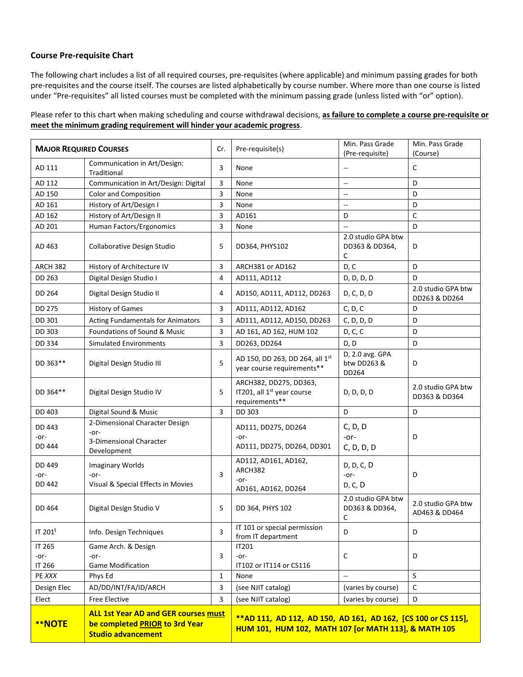## **Course Pre-requisite Chart**

The following chart includes a list of all required courses, pre-requisites (where applicable) and minimum passing grades for both pre-requisites and the course itself. The courses are listed alphabetically by course number. Where more than one course is listed under "Pre-requisites" all listed courses must be completed with the minimum passing grade (unless listed with "or" option).

Please refer to this chart when making scheduling and course withdrawal decisions, **as failure to complete a course pre-requisite or meet the minimum grading requirement will hinder your academic progress**.

| <b>MAJOR REQUIRED COURSES</b>                                                                                               |                                             | Cr.            | Pre-requisite(s)                                                                                                      | Min. Pass Grade<br>(Pre-requisite)        | Min. Pass Grade<br>(Course)         |  |  |
|-----------------------------------------------------------------------------------------------------------------------------|---------------------------------------------|----------------|-----------------------------------------------------------------------------------------------------------------------|-------------------------------------------|-------------------------------------|--|--|
| AD 111                                                                                                                      | Communication in Art/Design:<br>Traditional | 3              | None                                                                                                                  | $\overline{\phantom{a}}$                  | C                                   |  |  |
| AD 112                                                                                                                      | Communication in Art/Design: Digital        | 3              | None                                                                                                                  | $\overline{\phantom{a}}$                  | D                                   |  |  |
| AD 150                                                                                                                      | <b>Color and Composition</b>                | 3              | None                                                                                                                  | $\overline{\phantom{a}}$                  | D                                   |  |  |
| AD 161                                                                                                                      | History of Art/Design I                     | 3              | None                                                                                                                  | $\overline{\phantom{a}}$                  | D                                   |  |  |
| AD 162                                                                                                                      | History of Art/Design II                    | 3              | AD161                                                                                                                 | D                                         | C                                   |  |  |
| AD 201                                                                                                                      | Human Factors/Ergonomics                    | 3              | None                                                                                                                  | $\overline{\phantom{a}}$                  | D                                   |  |  |
| AD 463                                                                                                                      | Collaborative Design Studio                 | 5              | DD364, PHYS102                                                                                                        | 2.0 studio GPA btw<br>DD363 & DD364,<br>C | D                                   |  |  |
| ARCH 382                                                                                                                    | History of Architecture IV                  | 3              | ARCH381 or AD162                                                                                                      | D, C                                      | D                                   |  |  |
| DD 263                                                                                                                      | Digital Design Studio I                     | 4              | AD111, AD112                                                                                                          | D, D, D, D                                | D                                   |  |  |
| DD 264                                                                                                                      | Digital Design Studio II                    | 4              | AD150, AD111, AD112, DD263                                                                                            | D, C, D, D                                | 2.0 studio GPA btw<br>DD263 & DD264 |  |  |
| <b>DD 275</b>                                                                                                               | <b>History of Games</b>                     | 3              | AD111, AD112, AD162                                                                                                   | C, D, C                                   | D                                   |  |  |
| DD 301                                                                                                                      | <b>Acting Fundamentals for Animators</b>    | 3              | AD111, AD112, AD150, DD263                                                                                            | C, D, D, D                                | D                                   |  |  |
| DD 303                                                                                                                      | Foundations of Sound & Music                | 3              | AD 161, AD 162, HUM 102                                                                                               | D, C, C                                   | D                                   |  |  |
| DD 334                                                                                                                      | <b>Simulated Environments</b>               | $\overline{3}$ | DD263, DD264                                                                                                          | D, D                                      | D                                   |  |  |
| DD 363**                                                                                                                    | Digital Design Studio III                   | 5              | AD 150, DD 263, DD 264, all 1st<br>year course requirements**                                                         | D, 2.0 avg. GPA<br>btw DD263 &<br>DD264   | D                                   |  |  |
| DD 364**                                                                                                                    | Digital Design Studio IV                    | 5              | ARCH382, DD275, DD363,<br>IT201, all 1 <sup>st</sup> year course<br>requirements**                                    | D, D, D, D                                | 2.0 studio GPA btw<br>DD363 & DD364 |  |  |
| DD 403                                                                                                                      | Digital Sound & Music                       | $\overline{3}$ | DD 303                                                                                                                | D                                         | D                                   |  |  |
| DD 443                                                                                                                      | 2-Dimensional Character Design<br>$-0r-$    |                | AD111, DD275, DD264                                                                                                   | C, D, D                                   |                                     |  |  |
| -or-<br><b>DD 444</b>                                                                                                       | 3-Dimensional Character<br>Development      |                | $-0r-$<br>AD111, DD275, DD264, DD301                                                                                  | $-0r-$<br>C, D, D, D                      | D                                   |  |  |
| DD 449<br>-or-                                                                                                              | <b>Imaginary Worlds</b><br>-or-             | 3              | AD112, AD161, AD162,<br>ARCH382<br>$-0r-$                                                                             | D, D, C, D<br>-or-                        | D                                   |  |  |
| <b>DD 442</b>                                                                                                               | Visual & Special Effects in Movies          |                | AD161, AD162, DD264                                                                                                   | D, C, D                                   |                                     |  |  |
| DD 464                                                                                                                      | Digital Design Studio V                     | 5              | DD 364, PHYS 102                                                                                                      | 2.0 studio GPA btw<br>DD363 & DD364,<br>C | 2.0 studio GPA btw<br>AD463 & DD464 |  |  |
| IT 201 <sup>t</sup>                                                                                                         | Info. Design Techniques                     | 3              | IT 101 or special permission<br>from IT department                                                                    | D                                         | D                                   |  |  |
| IT 265                                                                                                                      | Game Arch. & Design                         |                | IT201                                                                                                                 |                                           |                                     |  |  |
| -or-                                                                                                                        | $-0r-$                                      | 3              | $-0r-$                                                                                                                | $\mathsf{C}$                              | D                                   |  |  |
| IT 266                                                                                                                      | <b>Game Modification</b>                    |                | IT102 or IT114 or CS116                                                                                               |                                           | S                                   |  |  |
| PE XXX                                                                                                                      | Phys Ed                                     | $\mathbf{1}$   | None                                                                                                                  | $\overline{\phantom{a}}$                  |                                     |  |  |
| Design Elec                                                                                                                 | AD/DD/INT/FA/ID/ARCH                        | 3              | (see NJIT catalog)                                                                                                    | (varies by course)                        | $\mathsf{C}$                        |  |  |
| Elect                                                                                                                       | <b>Free Elective</b>                        | 3              | (see NJIT catalog)                                                                                                    | (varies by course)                        | D                                   |  |  |
| <b>ALL 1st Year AD and GER courses must</b><br><b>**NOTE</b><br>be completed PRIOR to 3rd Year<br><b>Studio advancement</b> |                                             |                | **AD 111, AD 112, AD 150, AD 161, AD 162, [CS 100 or CS 115],<br>HUM 101, HUM 102, MATH 107 [or MATH 113], & MATH 105 |                                           |                                     |  |  |